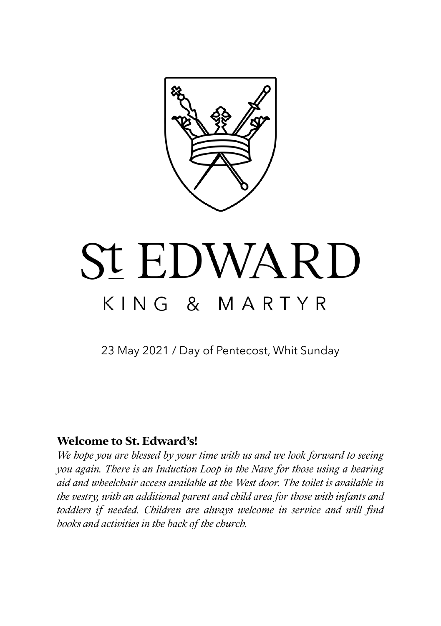

# **St EDWARD** KING & MARTYR

23 May 2021 / Day of Pentecost, Whit Sunday

## **Welcome to St. Edward's!**

*We hope you are blessed by your time with us and we look forward to seeing you again. There is an Induction Loop in the Nave for those using a hearing aid and wheelchair access available at the West door. The toilet is available in the vestry, with an additional parent and child area for those with infants and toddlers if needed. Children are always welcome in service and will find books and activities in the back of the church.*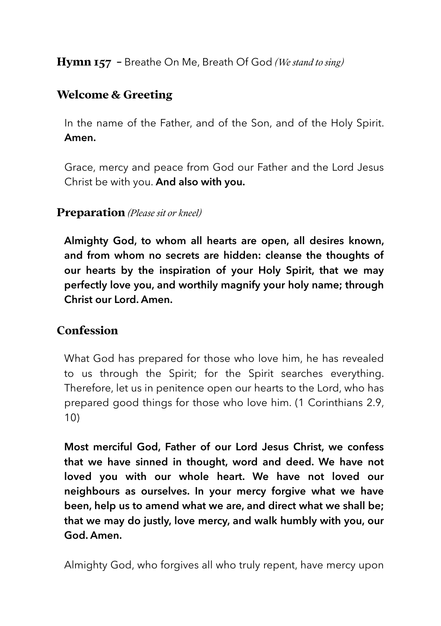**Hymn 157 -** Breathe On Me, Breath Of God *(We stand to sing)*

# **Welcome & Greeting**

In the name of the Father, and of the Son, and of the Holy Spirit. **Amen.**

Grace, mercy and peace from God our Father and the Lord Jesus Christ be with you. **And also with you.**

#### **Preparation** *(Please sit or kneel)*

**Almighty God, to whom all hearts are open, all desires known, and from whom no secrets are hidden: cleanse the thoughts of our hearts by the inspiration of your Holy Spirit, that we may perfectly love you, and worthily magnify your holy name; through Christ our Lord. Amen.** 

#### **Confession**

What God has prepared for those who love him, he has revealed to us through the Spirit; for the Spirit searches everything. Therefore, let us in penitence open our hearts to the Lord, who has prepared good things for those who love him. (1 Corinthians 2.9, 10)

**Most merciful God, Father of our Lord Jesus Christ, we confess that we have sinned in thought, word and deed. We have not loved you with our whole heart. We have not loved our neighbours as ourselves. In your mercy forgive what we have been, help us to amend what we are, and direct what we shall be; that we may do justly, love mercy, and walk humbly with you, our God. Amen.** 

Almighty God, who forgives all who truly repent, have mercy upon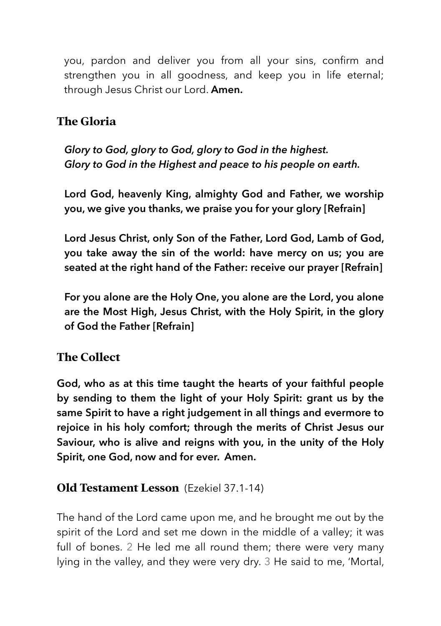you, pardon and deliver you from all your sins, confirm and strengthen you in all goodness, and keep you in life eternal; through Jesus Christ our Lord. **Amen.**

# **The Gloria**

*Glory to God, glory to God, glory to God in the highest. Glory to God in the Highest and peace to his people on earth.* 

**Lord God, heavenly King, almighty God and Father, we worship you, we give you thanks, we praise you for your glory [Refrain]** 

**Lord Jesus Christ, only Son of the Father, Lord God, Lamb of God, you take away the sin of the world: have mercy on us; you are seated at the right hand of the Father: receive our prayer [Refrain]** 

**For you alone are the Holy One, you alone are the Lord, you alone are the Most High, Jesus Christ, with the Holy Spirit, in the glory of God the Father [Refrain]** 

# **The Collect**

**God, who as at this time taught the hearts of your faithful people by sending to them the light of your Holy Spirit: grant us by the same Spirit to have a right judgement in all things and evermore to rejoice in his holy comfort; through the merits of Christ Jesus our Saviour, who is alive and reigns with you, in the unity of the Holy Spirit, one God, now and for ever. Amen.** 

# **Old Testament Lesson** (Ezekiel 37.1-14)

The hand of the Lord came upon me, and he brought me out by the spirit of the Lord and set me down in the middle of a valley; it was full of bones. 2 He led me all round them; there were very many lying in the valley, and they were very dry. 3 He said to me, 'Mortal,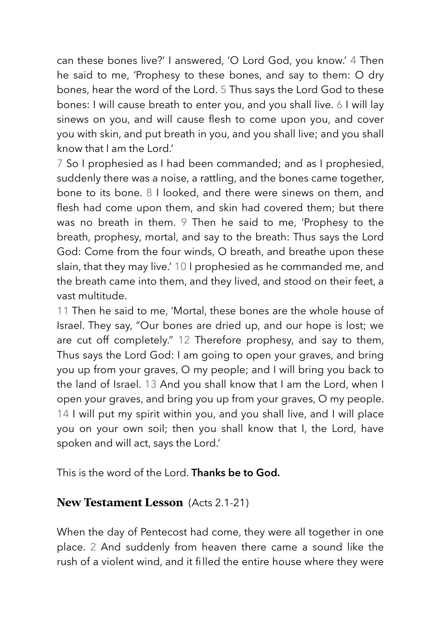can these bones live?' I answered, 'O Lord God, you know.' 4 Then he said to me, 'Prophesy to these bones, and say to them: O dry bones, hear the word of the Lord. 5 Thus says the Lord God to these bones: I will cause breath to enter you, and you shall live. 6 I will lay sinews on you, and will cause flesh to come upon you, and cover you with skin, and put breath in you, and you shall live; and you shall know that I am the Lord.'

7 So I prophesied as I had been commanded; and as I prophesied, suddenly there was a noise, a rattling, and the bones came together, bone to its bone. 8 I looked, and there were sinews on them, and flesh had come upon them, and skin had covered them; but there was no breath in them. 9 Then he said to me, 'Prophesy to the breath, prophesy, mortal, and say to the breath: Thus says the Lord God: Come from the four winds, O breath, and breathe upon these slain, that they may live.' 10 I prophesied as he commanded me, and the breath came into them, and they lived, and stood on their feet, a vast multitude.

11 Then he said to me, 'Mortal, these bones are the whole house of Israel. They say, "Our bones are dried up, and our hope is lost; we are cut off completely." 12 Therefore prophesy, and say to them, Thus says the Lord God: I am going to open your graves, and bring you up from your graves, O my people; and I will bring you back to the land of Israel. 13 And you shall know that I am the Lord, when I open your graves, and bring you up from your graves, O my people. 14 I will put my spirit within you, and you shall live, and I will place you on your own soil; then you shall know that I, the Lord, have spoken and will act, says the Lord.'

This is the word of the Lord. **Thanks be to God.**

# **New Testament Lesson** (Acts 2.1-21)

When the day of Pentecost had come, they were all together in one place. 2 And suddenly from heaven there came a sound like the rush of a violent wind, and it filled the entire house where they were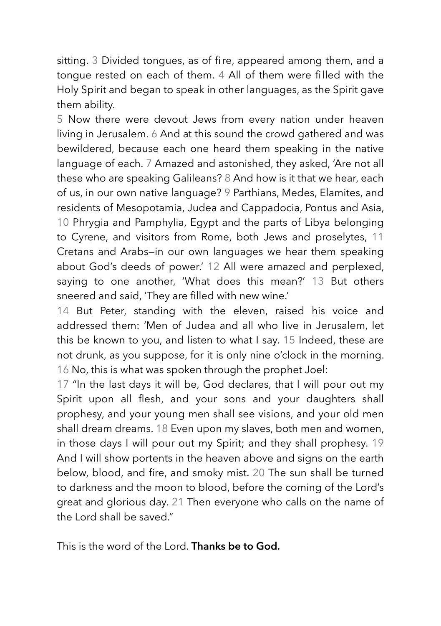sitting. 3 Divided tongues, as of fire, appeared among them, and a tongue rested on each of them. 4 All of them were filled with the Holy Spirit and began to speak in other languages, as the Spirit gave them ability.

5 Now there were devout Jews from every nation under heaven living in Jerusalem. 6 And at this sound the crowd gathered and was bewildered, because each one heard them speaking in the native language of each. 7 Amazed and astonished, they asked, 'Are not all these who are speaking Galileans? 8 And how is it that we hear, each of us, in our own native language? 9 Parthians, Medes, Elamites, and residents of Mesopotamia, Judea and Cappadocia, Pontus and Asia, 10 Phrygia and Pamphylia, Egypt and the parts of Libya belonging to Cyrene, and visitors from Rome, both Jews and proselytes, 11 Cretans and Arabs—in our own languages we hear them speaking about God's deeds of power.' 12 All were amazed and perplexed, saying to one another, 'What does this mean?' 13 But others sneered and said, 'They are filled with new wine.'

14 But Peter, standing with the eleven, raised his voice and addressed them: 'Men of Judea and all who live in Jerusalem, let this be known to you, and listen to what I say. 15 Indeed, these are not drunk, as you suppose, for it is only nine o'clock in the morning. 16 No, this is what was spoken through the prophet Joel:

17 "In the last days it will be, God declares, that I will pour out my Spirit upon all flesh, and your sons and your daughters shall prophesy, and your young men shall see visions, and your old men shall dream dreams. 18 Even upon my slaves, both men and women, in those days I will pour out my Spirit; and they shall prophesy. 19 And I will show portents in the heaven above and signs on the earth below, blood, and fire, and smoky mist. 20 The sun shall be turned to darkness and the moon to blood, before the coming of the Lord's great and glorious day. 21 Then everyone who calls on the name of the Lord shall be saved."

This is the word of the Lord. **Thanks be to God.**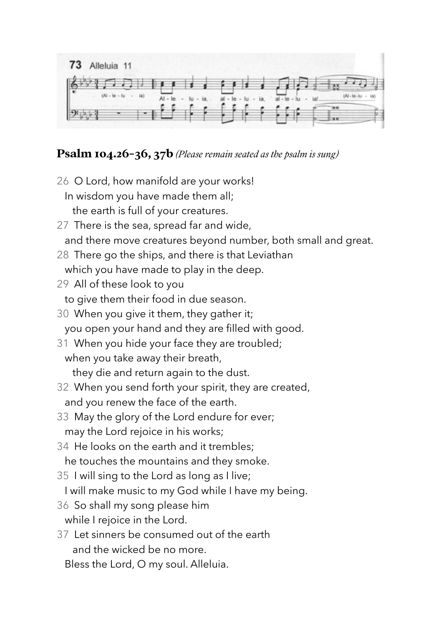

## **Psalm 104.26-36, 37b** *(Please remain seated as the psalm is sung)*

- 26 O Lord, how manifold are your works! In wisdom you have made them all; the earth is full of your creatures.
- 27 There is the sea, spread far and wide, and there move creatures beyond number, both small and great.
- 28 There go the ships, and there is that Leviathan which you have made to play in the deep.
- 29 All of these look to you to give them their food in due season.
- 30 When you give it them, they gather it; you open your hand and they are filled with good.
- 31 When you hide your face they are troubled; when you take away their breath, they die and return again to the dust.
- 32 When you send forth your spirit, they are created, and you renew the face of the earth.
- 33 May the glory of the Lord endure for ever; may the Lord rejoice in his works;
- 34 He looks on the earth and it trembles; he touches the mountains and they smoke.
- 35 I will sing to the Lord as long as I live;
	- I will make music to my God while I have my being.
- 36 So shall my song please him while I rejoice in the Lord.
- 37 Let sinners be consumed out of the earth and the wicked be no more.
	- Bless the Lord, O my soul. Alleluia.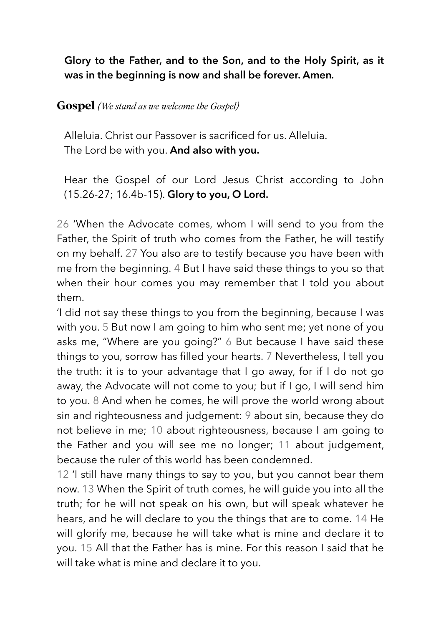**Glory to the Father, and to the Son, and to the Holy Spirit, as it was in the beginning is now and shall be forever. Amen***.*

#### **Gospel** *(We stand as we welcome the Gospel)*

Alleluia. Christ our Passover is sacrificed for us. Alleluia. The Lord be with you. **And also with you.**

Hear the Gospel of our Lord Jesus Christ according to John (15.26-27; 16.4b-15). **Glory to you, O Lord.**

26 'When the Advocate comes, whom I will send to you from the Father, the Spirit of truth who comes from the Father, he will testify on my behalf. 27 You also are to testify because you have been with me from the beginning. 4 But I have said these things to you so that when their hour comes you may remember that I told you about them.

'I did not say these things to you from the beginning, because I was with you. 5 But now I am going to him who sent me; yet none of you asks me, "Where are you going?" 6 But because I have said these things to you, sorrow has filled your hearts. 7 Nevertheless, I tell you the truth: it is to your advantage that I go away, for if I do not go away, the Advocate will not come to you; but if I go, I will send him to you. 8 And when he comes, he will prove the world wrong about sin and righteousness and judgement: 9 about sin, because they do not believe in me; 10 about righteousness, because I am going to the Father and you will see me no longer; 11 about judgement, because the ruler of this world has been condemned.

12 'I still have many things to say to you, but you cannot bear them now. 13 When the Spirit of truth comes, he will guide you into all the truth; for he will not speak on his own, but will speak whatever he hears, and he will declare to you the things that are to come. 14 He will glorify me, because he will take what is mine and declare it to you. 15 All that the Father has is mine. For this reason I said that he will take what is mine and declare it to you.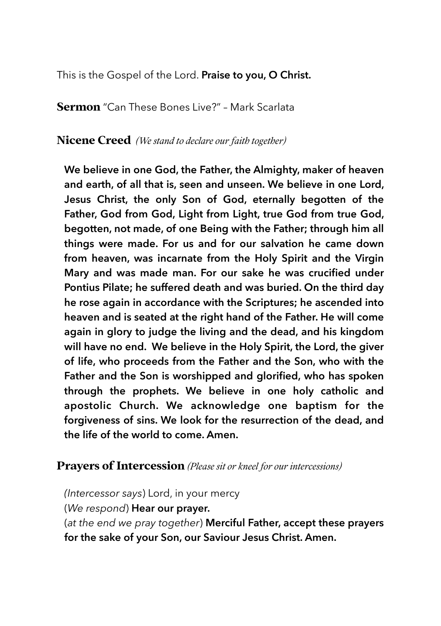This is the Gospel of the Lord. **Praise to you, O Christ.**

**Sermon** "Can These Bones Live?" – Mark Scarlata

**Nicene Creed** *(We stand to declare our faith together)*

**We believe in one God, the Father, the Almighty, maker of heaven and earth, of all that is, seen and unseen. We believe in one Lord, Jesus Christ, the only Son of God, eternally begotten of the Father, God from God, Light from Light, true God from true God, begotten, not made, of one Being with the Father; through him all things were made. For us and for our salvation he came down from heaven, was incarnate from the Holy Spirit and the Virgin Mary and was made man. For our sake he was crucified under Pontius Pilate; he suffered death and was buried. On the third day he rose again in accordance with the Scriptures; he ascended into heaven and is seated at the right hand of the Father. He will come again in glory to judge the living and the dead, and his kingdom will have no end. We believe in the Holy Spirit, the Lord, the giver of life, who proceeds from the Father and the Son, who with the Father and the Son is worshipped and glorified, who has spoken through the prophets. We believe in one holy catholic and apostolic Church. We acknowledge one baptism for the forgiveness of sins. We look for the resurrection of the dead, and the life of the world to come. Amen.** 

#### **Prayers of Intercession** *(Please sit or kneel for our intercessions)*

*(Intercessor says*) Lord, in your mercy (*We respond*) **Hear our prayer.** (*at the end we pray together*) **Merciful Father, accept these prayers for the sake of your Son, our Saviour Jesus Christ. Amen.**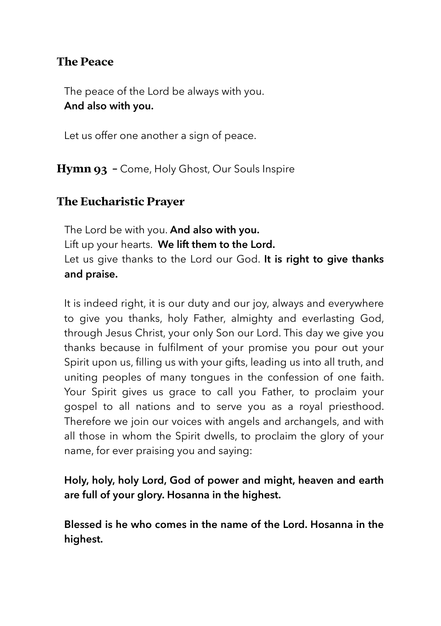## **The Peace**

The peace of the Lord be always with you. **And also with you.**

Let us offer one another a sign of peace.

**Hymn 93 -** Come, Holy Ghost, Our Souls Inspire

## **The Eucharistic Prayer**

The Lord be with you. **And also with you.**  Lift up your hearts. **We lift them to the Lord.**  Let us give thanks to the Lord our God. **It is right to give thanks and praise.** 

It is indeed right, it is our duty and our joy, always and everywhere to give you thanks, holy Father, almighty and everlasting God, through Jesus Christ, your only Son our Lord. This day we give you thanks because in fulfilment of your promise you pour out your Spirit upon us, filling us with your gifts, leading us into all truth, and uniting peoples of many tongues in the confession of one faith. Your Spirit gives us grace to call you Father, to proclaim your gospel to all nations and to serve you as a royal priesthood. Therefore we join our voices with angels and archangels, and with all those in whom the Spirit dwells, to proclaim the glory of your name, for ever praising you and saying:

**Holy, holy, holy Lord, God of power and might, heaven and earth are full of your glory. Hosanna in the highest.** 

**Blessed is he who comes in the name of the Lord. Hosanna in the highest.**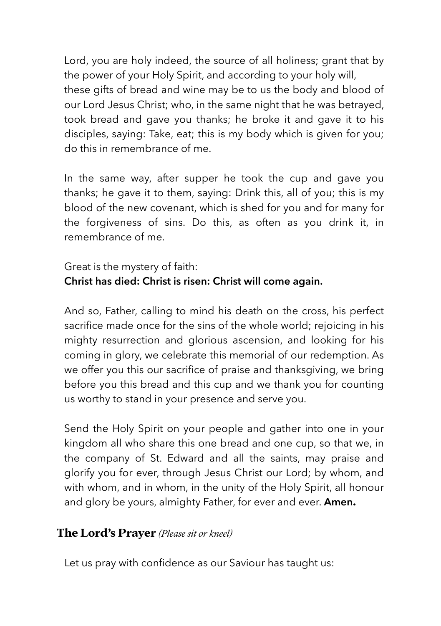Lord, you are holy indeed, the source of all holiness; grant that by the power of your Holy Spirit, and according to your holy will, these gifts of bread and wine may be to us the body and blood of our Lord Jesus Christ; who, in the same night that he was betrayed, took bread and gave you thanks; he broke it and gave it to his disciples, saying: Take, eat; this is my body which is given for you; do this in remembrance of me.

In the same way, after supper he took the cup and gave you thanks; he gave it to them, saying: Drink this, all of you; this is my blood of the new covenant, which is shed for you and for many for the forgiveness of sins. Do this, as often as you drink it, in remembrance of me.

## Great is the mystery of faith: **Christ has died: Christ is risen: Christ will come again.**

And so, Father, calling to mind his death on the cross, his perfect sacrifice made once for the sins of the whole world; rejoicing in his mighty resurrection and glorious ascension, and looking for his coming in glory, we celebrate this memorial of our redemption. As we offer you this our sacrifice of praise and thanksgiving, we bring before you this bread and this cup and we thank you for counting us worthy to stand in your presence and serve you.

Send the Holy Spirit on your people and gather into one in your kingdom all who share this one bread and one cup, so that we, in the company of St. Edward and all the saints, may praise and glorify you for ever, through Jesus Christ our Lord; by whom, and with whom, and in whom, in the unity of the Holy Spirit, all honour and glory be yours, almighty Father, for ever and ever. **Amen.** 

## **The Lord's Prayer** *(Please sit or kneel)*

Let us pray with confidence as our Saviour has taught us: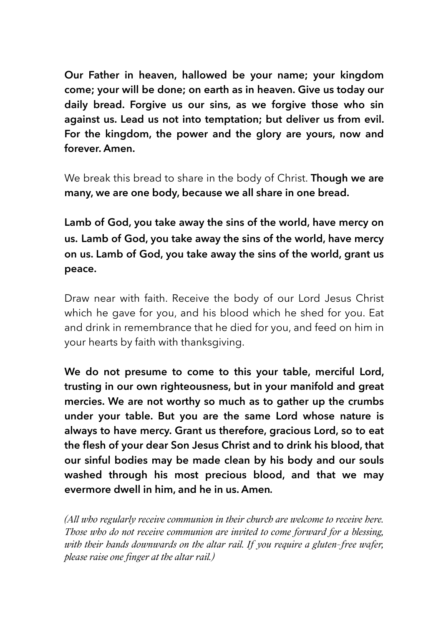**Our Father in heaven, hallowed be your name; your kingdom come; your will be done; on earth as in heaven. Give us today our daily bread. Forgive us our sins, as we forgive those who sin against us. Lead us not into temptation; but deliver us from evil. For the kingdom, the power and the glory are yours, now and forever. Amen.** 

We break this bread to share in the body of Christ. **Though we are many, we are one body, because we all share in one bread.**

**Lamb of God, you take away the sins of the world, have mercy on us. Lamb of God, you take away the sins of the world, have mercy on us. Lamb of God, you take away the sins of the world, grant us peace.**

Draw near with faith. Receive the body of our Lord Jesus Christ which he gave for you, and his blood which he shed for you. Eat and drink in remembrance that he died for you, and feed on him in your hearts by faith with thanksgiving.

**We do not presume to come to this your table, merciful Lord, trusting in our own righteousness, but in your manifold and great mercies. We are not worthy so much as to gather up the crumbs under your table. But you are the same Lord whose nature is always to have mercy. Grant us therefore, gracious Lord, so to eat the flesh of your dear Son Jesus Christ and to drink his blood, that our sinful bodies may be made clean by his body and our souls washed through his most precious blood, and that we may evermore dwell in him, and he in us. Amen***.*

*(All who regularly receive communion in their church are welcome to receive here. Those who do not receive communion are invited to come forward for a blessing, with their hands downwards on the altar rail. If you require a gluten-free wafer, please raise one finger at the altar rail.)*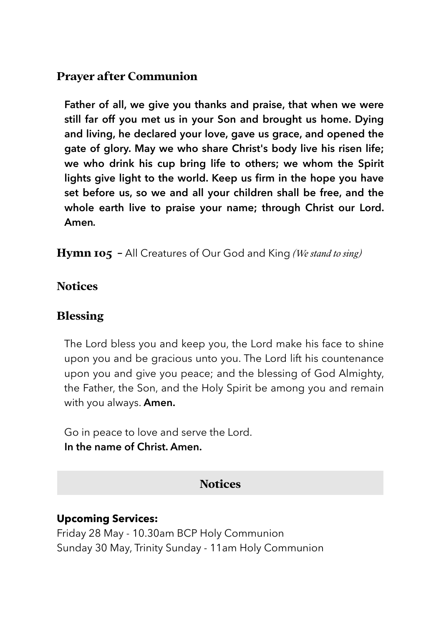# **Prayer after Communion**

**Father of all, we give you thanks and praise, that when we were still far off you met us in your Son and brought us home. Dying and living, he declared your love, gave us grace, and opened the gate of glory. May we who share Christ's body live his risen life; we who drink his cup bring life to others; we whom the Spirit lights give light to the world. Keep us firm in the hope you have set before us, so we and all your children shall be free, and the whole earth live to praise your name; through Christ our Lord. Amen***.* 

**Hymn 105 -** All Creatures of Our God and King *(We stand to sing)*

### **Notices**

## **Blessing**

The Lord bless you and keep you, the Lord make his face to shine upon you and be gracious unto you. The Lord lift his countenance upon you and give you peace; and the blessing of God Almighty, the Father, the Son, and the Holy Spirit be among you and remain with you always. **Amen.**

Go in peace to love and serve the Lord. **In the name of Christ. Amen.**

# **Notices**

## **Upcoming Services:**

Friday 28 May - 10.30am BCP Holy Communion Sunday 30 May, Trinity Sunday - 11am Holy Communion